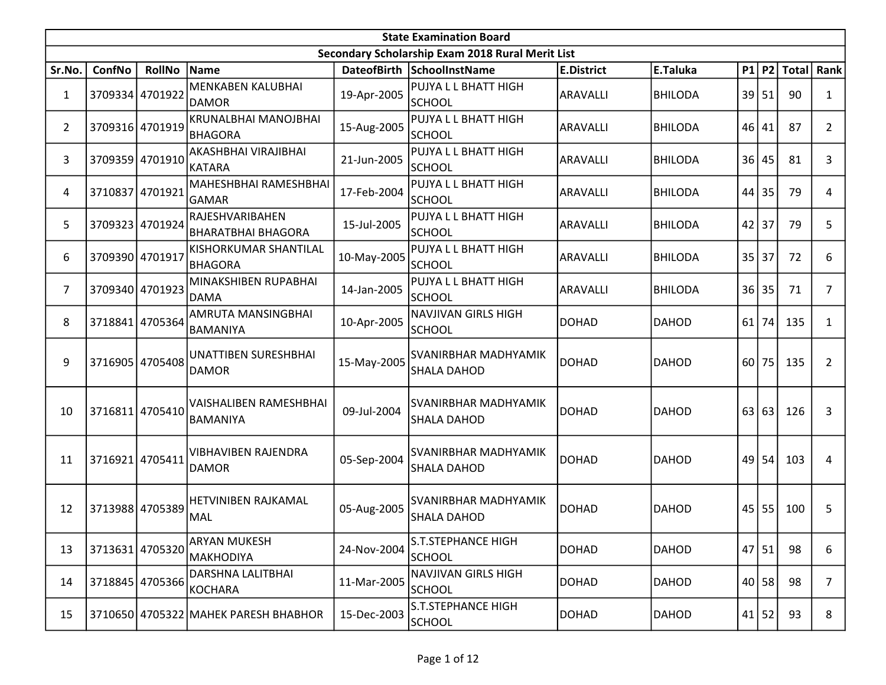|                | <b>State Examination Board</b> |                 |                                              |             |                                                  |                   |                |           |           |              |                |  |  |
|----------------|--------------------------------|-----------------|----------------------------------------------|-------------|--------------------------------------------------|-------------------|----------------|-----------|-----------|--------------|----------------|--|--|
|                |                                |                 |                                              |             | Secondary Scholarship Exam 2018 Rural Merit List |                   |                |           |           |              |                |  |  |
| Sr.No.         | ConfNo                         | <b>RollNo</b>   | Name                                         |             | DateofBirth SchoolInstName                       | <b>E.District</b> | E.Taluka       |           | P1 P2     | <b>Total</b> | Rank           |  |  |
| $\mathbf{1}$   | 3709334 4701922                |                 | <b>MENKABEN KALUBHAI</b><br>IDAMOR           | 19-Apr-2005 | PUJYA L L BHATT HIGH<br><b>SCHOOL</b>            | <b>ARAVALLI</b>   | <b>BHILODA</b> | 39        | 51        | 90           | 1              |  |  |
| $\overline{2}$ |                                | 3709316 4701919 | KRUNALBHAI MANOJBHAI<br>BHAGORA              | 15-Aug-2005 | PUJYA L L BHATT HIGH<br><b>SCHOOL</b>            | ARAVALLI          | BHILODA        | 46        | 41        | 87           | 2              |  |  |
| 3              |                                | 3709359 4701910 | AKASHBHAI VIRAJIBHAI<br>KATARA               | 21-Jun-2005 | PUJYA L L BHATT HIGH<br><b>SCHOOL</b>            | <b>ARAVALLI</b>   | <b>BHILODA</b> | 36        | 45        | 81           | 3              |  |  |
| 4              | 3710837                        | 4701921         | MAHESHBHAI RAMESHBHAI<br>GAMAR               | 17-Feb-2004 | PUJYA L L BHATT HIGH<br><b>SCHOOL</b>            | ARAVALLI          | BHILODA        | 44        | 35        | 79           | 4              |  |  |
| 5              |                                | 3709323 4701924 | RAJESHVARIBAHEN<br><b>BHARATBHAI BHAGORA</b> | 15-Jul-2005 | PUJYA L L BHATT HIGH<br><b>SCHOOL</b>            | <b>ARAVALLI</b>   | <b>BHILODA</b> | $42$   37 |           | 79           | 5              |  |  |
| 6              | 3709390 4701917                |                 | KISHORKUMAR SHANTILAL<br>BHAGORA             | 10-May-2005 | PUJYA L L BHATT HIGH<br><b>SCHOOL</b>            | <b>ARAVALLI</b>   | <b>BHILODA</b> | 35        | 37        | 72           | 6              |  |  |
| 7              | 3709340 4701923                |                 | MINAKSHIBEN RUPABHAI<br>DAMA                 | 14-Jan-2005 | PUJYA L L BHATT HIGH<br><b>SCHOOL</b>            | ARAVALLI          | <b>BHILODA</b> | 36        | 35        | 71           | 7              |  |  |
| 8              |                                | 3718841 4705364 | AMRUTA MANSINGBHAI<br><b>BAMANIYA</b>        | 10-Apr-2005 | <b>NAVJIVAN GIRLS HIGH</b><br><b>SCHOOL</b>      | <b>DOHAD</b>      | <b>DAHOD</b>   | 61        | 74        | 135          | 1              |  |  |
| 9              |                                | 3716905 4705408 | UNATTIBEN SURESHBHAI<br><b>DAMOR</b>         | 15-May-2005 | SVANIRBHAR MADHYAMIK<br>SHALA DAHOD              | <b>DOHAD</b>      | <b>DAHOD</b>   | 60        | 75        | 135          | 2              |  |  |
| 10             |                                | 3716811 4705410 | VAISHALIBEN RAMESHBHAI<br>BAMANIYA           | 09-Jul-2004 | SVANIRBHAR MADHYAMIK<br>SHALA DAHOD              | <b>DOHAD</b>      | <b>DAHOD</b>   | 63        | 63        | 126          | 3              |  |  |
| 11             | 3716921 4705411                |                 | <b>VIBHAVIBEN RAJENDRA</b><br><b>DAMOR</b>   | 05-Sep-2004 | SVANIRBHAR MADHYAMIK<br>SHALA DAHOD              | <b>DOHAD</b>      | <b>DAHOD</b>   |           | $49$   54 | 103          | 4              |  |  |
| 12             |                                | 3713988 4705389 | <b>HETVINIBEN RAJKAMAL</b><br>MAL            | 05-Aug-2005 | SVANIRBHAR MADHYAMIK<br>SHALA DAHOD              | <b>DOHAD</b>      | <b>DAHOD</b>   | 45        | 55        | 100          | 5              |  |  |
| 13             | 3713631 4705320                |                 | <b>ARYAN MUKESH</b><br>MAKHODIYA             | 24-Nov-2004 | <b>S.T.STEPHANCE HIGH</b><br><b>SCHOOL</b>       | <b>DOHAD</b>      | <b>DAHOD</b>   |           | 47 51     | 98           | 6              |  |  |
| 14             |                                | 3718845 4705366 | DARSHNA LALITBHAI<br>KOCHARA                 | 11-Mar-2005 | <b>NAVJIVAN GIRLS HIGH</b><br><b>SCHOOL</b>      | <b>DOHAD</b>      | <b>DAHOD</b>   |           | 40 58     | 98           | $\overline{7}$ |  |  |
| 15             |                                |                 | 3710650 4705322 MAHEK PARESH BHABHOR         | 15-Dec-2003 | <b>S.T.STEPHANCE HIGH</b><br>SCHOOL              | DOHAD             | <b>DAHOD</b>   |           | $41$ 52   | 93           | 8              |  |  |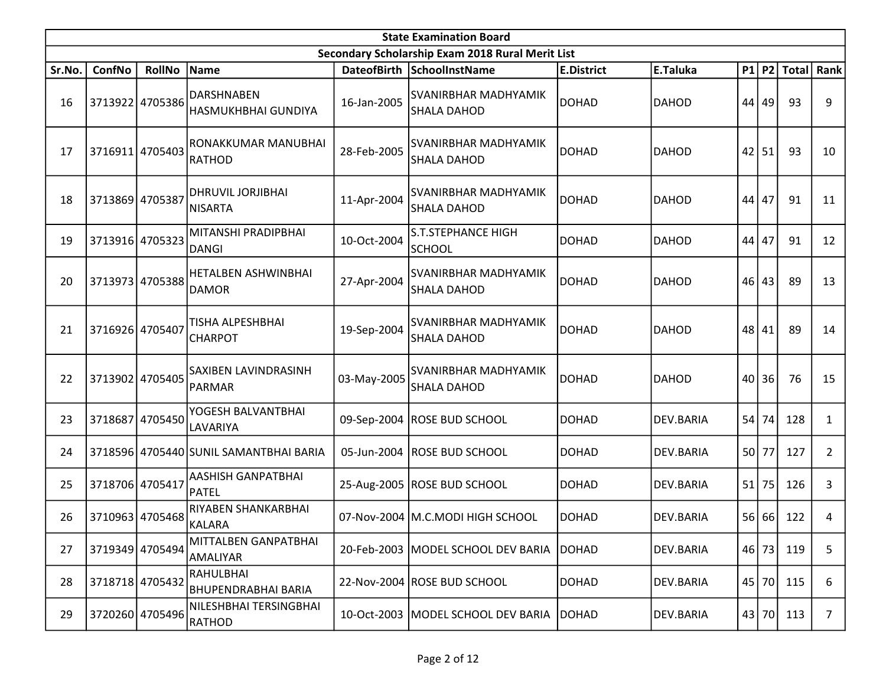|        | <b>State Examination Board</b> |                 |                                                |             |                                                   |                   |              |       |       |              |                |  |  |
|--------|--------------------------------|-----------------|------------------------------------------------|-------------|---------------------------------------------------|-------------------|--------------|-------|-------|--------------|----------------|--|--|
|        |                                |                 |                                                |             | Secondary Scholarship Exam 2018 Rural Merit List  |                   |              |       |       |              |                |  |  |
| Sr.No. | <b>ConfNo</b>                  | <b>RollNo</b>   | Name                                           |             | DateofBirth SchoolInstName                        | <b>E.District</b> | E.Taluka     |       | P1 P2 | <b>Total</b> | Rank           |  |  |
| 16     |                                | 3713922 4705386 | <b>DARSHNABEN</b><br>HASMUKHBHAI GUNDIYA       | 16-Jan-2005 | <b>SVANIRBHAR MADHYAMIK</b><br>SHALA DAHOD        | DOHAD             | <b>DAHOD</b> | 44    | 49    | 93           | 9              |  |  |
| 17     |                                | 3716911 4705403 | RONAKKUMAR MANUBHAI<br><b>RATHOD</b>           | 28-Feb-2005 | SVANIRBHAR MADHYAMIK<br>SHALA DAHOD               | <b>DOHAD</b>      | <b>DAHOD</b> | 42    | 51    | 93           | 10             |  |  |
| 18     | 3713869 4705387                |                 | <b>DHRUVIL JORJIBHAI</b><br>NISARTA            | 11-Apr-2004 | <b>SVANIRBHAR MADHYAMIK</b><br>SHALA DAHOD        | <b>DOHAD</b>      | <b>DAHOD</b> | 44    | 47    | 91           | 11             |  |  |
| 19     |                                | 3713916 4705323 | MITANSHI PRADIPBHAI<br><b>DANGI</b>            | 10-Oct-2004 | <b>S.T.STEPHANCE HIGH</b><br><b>SCHOOL</b>        | <b>DOHAD</b>      | <b>DAHOD</b> | 44    | 47    | 91           | 12             |  |  |
| 20     |                                | 3713973 4705388 | <b>HETALBEN ASHWINBHAI</b><br><b>DAMOR</b>     | 27-Apr-2004 | <b>SVANIRBHAR MADHYAMIK</b><br><b>SHALA DAHOD</b> | <b>DOHAD</b>      | <b>DAHOD</b> | 46    | 43    | 89           | 13             |  |  |
| 21     | 3716926 4705407                |                 | <b>TISHA ALPESHBHAI</b><br><b>CHARPOT</b>      | 19-Sep-2004 | ISVANIRBHAR MADHYAMIK<br>ISHALA DAHOD             | <b>DOHAD</b>      | <b>DAHOD</b> | 48    | 41    | 89           | 14             |  |  |
| 22     |                                | 3713902 4705405 | SAXIBEN LAVINDRASINH<br><b>PARMAR</b>          | 03-May-2005 | ISVANIRBHAR MADHYAMIK<br>SHALA DAHOD              | <b>DOHAD</b>      | <b>DAHOD</b> |       | 40 36 | 76           | 15             |  |  |
| 23     |                                | 3718687 4705450 | YOGESH BALVANTBHAI<br>LAVARIYA                 |             | 09-Sep-2004 ROSE BUD SCHOOL                       | <b>DOHAD</b>      | DEV.BARIA    | 54    | 74    | 128          | 1              |  |  |
| 24     |                                |                 | 3718596 4705440 SUNIL SAMANTBHAI BARIA         | 05-Jun-2004 | <b>ROSE BUD SCHOOL</b>                            | <b>DOHAD</b>      | DEV.BARIA    | 50 77 |       | 127          | 2              |  |  |
| 25     |                                | 3718706 4705417 | AASHISH GANPATBHAI<br><b>PATEL</b>             |             | 25-Aug-2005   ROSE BUD SCHOOL                     | <b>DOHAD</b>      | DEV.BARIA    | 51    | 75    | 126          | 3              |  |  |
| 26     |                                | 3710963 4705468 | RIYABEN SHANKARBHAI<br>KALARA                  |             | 07-Nov-2004   M.C.MODI HIGH SCHOOL                | <b>DOHAD</b>      | DEV.BARIA    | 56    | 66    | 122          | 4              |  |  |
| 27     | 3719349 4705494                |                 | MITTALBEN GANPATBHAI<br>AMALIYAR               |             | 20-Feb-2003 MODEL SCHOOL DEV BARIA DOHAD          |                   | DEV.BARIA    |       | 46 73 | 119          | 5              |  |  |
| 28     | 3718718 4705432                |                 | <b>RAHULBHAI</b><br><b>BHUPENDRABHAI BARIA</b> |             | 22-Nov-2004 ROSE BUD SCHOOL                       | <b>DOHAD</b>      | DEV.BARIA    |       | 45 70 | 115          | 6              |  |  |
| 29     |                                | 3720260 4705496 | NILESHBHAI TERSINGBHAI<br>RATHOD               |             | 10-Oct-2003   MODEL SCHOOL DEV BARIA              | <b>DOHAD</b>      | DEV.BARIA    |       | 43 70 | 113          | $\overline{7}$ |  |  |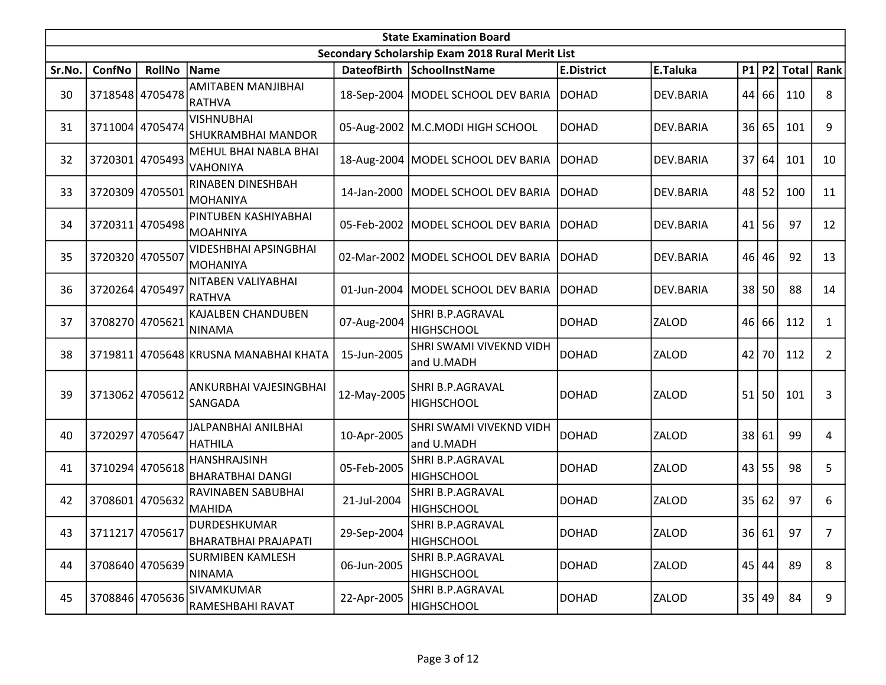|        | <b>State Examination Board</b><br>Secondary Scholarship Exam 2018 Rural Merit List |                 |                                                |             |                                       |                   |              |                 |           |               |                |  |  |
|--------|------------------------------------------------------------------------------------|-----------------|------------------------------------------------|-------------|---------------------------------------|-------------------|--------------|-----------------|-----------|---------------|----------------|--|--|
|        |                                                                                    |                 |                                                |             |                                       |                   |              |                 |           |               |                |  |  |
| Sr.No. | ConfNo                                                                             | <b>RollNo</b>   | Name                                           |             | DateofBirth SchoolInstName            | <b>E.District</b> | E.Taluka     |                 |           | $P1$ P2 Total | Rank           |  |  |
| 30     |                                                                                    | 3718548 4705478 | AMITABEN MANJIBHAI<br>RATHVA                   |             | 18-Sep-2004   MODEL SCHOOL DEV BARIA  | <b>DOHAD</b>      | DEV.BARIA    |                 | 44 66     | 110           | 8              |  |  |
| 31     |                                                                                    | 3711004 4705474 | <b>VISHNUBHAI</b><br><b>SHUKRAMBHAI MANDOR</b> |             | 05-Aug-2002   M.C.MODI HIGH SCHOOL    | <b>DOHAD</b>      | DEV.BARIA    |                 | 36 65     | 101           | 9              |  |  |
| 32     |                                                                                    | 3720301 4705493 | MEHUL BHAI NABLA BHAI<br>VAHONIYA              |             | 18-Aug-2004   MODEL SCHOOL DEV BARIA  | <b>IDOHAD</b>     | DEV.BARIA    |                 | 37 64     | 101           | 10             |  |  |
| 33     | 3720309                                                                            | 4705501         | <b>RINABEN DINESHBAH</b><br>MOHANIYA           |             | 14-Jan-2000   MODEL SCHOOL DEV BARIA  | <b>IDOHAD</b>     | DEV.BARIA    |                 | $48$   52 | 100           | 11             |  |  |
| 34     |                                                                                    | 3720311 4705498 | PINTUBEN KASHIYABHAI<br>MOAHNIYA               |             | 05-Feb-2002   MODEL SCHOOL DEV BARIA  | <b>DOHAD</b>      | DEV.BARIA    |                 | $41$   56 | 97            | 12             |  |  |
| 35     | 3720320 4705507                                                                    |                 | <b>VIDESHBHAI APSINGBHAI</b><br>MOHANIYA       |             | 02-Mar-2002 MODEL SCHOOL DEV BARIA    | <b>DOHAD</b>      | DEV.BARIA    |                 | 46 46     | 92            | 13             |  |  |
| 36     | 3720264 4705497                                                                    |                 | NITABEN VALIYABHAI<br>RATHVA                   | 01-Jun-2004 | MODEL SCHOOL DEV BARIA                | <b>DOHAD</b>      | DEV.BARIA    | 38 <sup>1</sup> | 50        | 88            | 14             |  |  |
| 37     | 3708270 4705621                                                                    |                 | KAJALBEN CHANDUBEN<br>NINAMA                   | 07-Aug-2004 | SHRI B.P.AGRAVAL<br><b>HIGHSCHOOL</b> | <b>DOHAD</b>      | ZALOD        |                 | 46 66     | 112           | $\mathbf{1}$   |  |  |
| 38     |                                                                                    |                 | 3719811 4705648 KRUSNA MANABHAI KHATA          | 15-Jun-2005 | SHRI SWAMI VIVEKND VIDH<br>and U.MADH | <b>DOHAD</b>      | <b>ZALOD</b> |                 | 42 70     | 112           | $\overline{2}$ |  |  |
| 39     | 3713062 4705612                                                                    |                 | ANKURBHAI VAJESINGBHAI<br>SANGADA              | 12-May-2005 | SHRI B.P.AGRAVAL<br><b>HIGHSCHOOL</b> | <b>DOHAD</b>      | <b>ZALOD</b> |                 | 51 50     | 101           | 3              |  |  |
| 40     | 3720297 4705647                                                                    |                 | JALPANBHAI ANILBHAI<br><b>HATHILA</b>          | 10-Apr-2005 | SHRI SWAMI VIVEKND VIDH<br>and U.MADH | <b>DOHAD</b>      | <b>ZALOD</b> |                 | 38 61     | 99            | 4              |  |  |
| 41     |                                                                                    | 3710294 4705618 | <b>HANSHRAJSINH</b><br><b>BHARATBHAI DANGI</b> | 05-Feb-2005 | SHRI B.P.AGRAVAL<br><b>HIGHSCHOOL</b> | <b>DOHAD</b>      | ZALOD        |                 | 43 55     | 98            | 5              |  |  |
| 42     |                                                                                    | 3708601 4705632 | RAVINABEN SABUBHAI<br>MAHIDA                   | 21-Jul-2004 | SHRI B.P.AGRAVAL<br><b>HIGHSCHOOL</b> | <b>DOHAD</b>      | ZALOD        |                 | 35 62     | 97            | 6              |  |  |
| 43     |                                                                                    | 3711217 4705617 | DURDESHKUMAR<br><b>BHARATBHAI PRAJAPATI</b>    | 29-Sep-2004 | SHRI B.P.AGRAVAL<br><b>HIGHSCHOOL</b> | <b>DOHAD</b>      | ZALOD        |                 | 36 61     | 97            | 7              |  |  |
| 44     |                                                                                    | 3708640 4705639 | <b>SURMIBEN KAMLESH</b><br><b>NINAMA</b>       | 06-Jun-2005 | SHRI B.P.AGRAVAL<br><b>HIGHSCHOOL</b> | <b>DOHAD</b>      | ZALOD        |                 | 45 44     | 89            | 8              |  |  |
| 45     |                                                                                    | 3708846 4705636 | SIVAMKUMAR<br>RAMESHBAHI RAVAT                 | 22-Apr-2005 | SHRI B.P.AGRAVAL<br><b>HIGHSCHOOL</b> | <b>DOHAD</b>      | ZALOD        | 35              | 49        | 84            | 9              |  |  |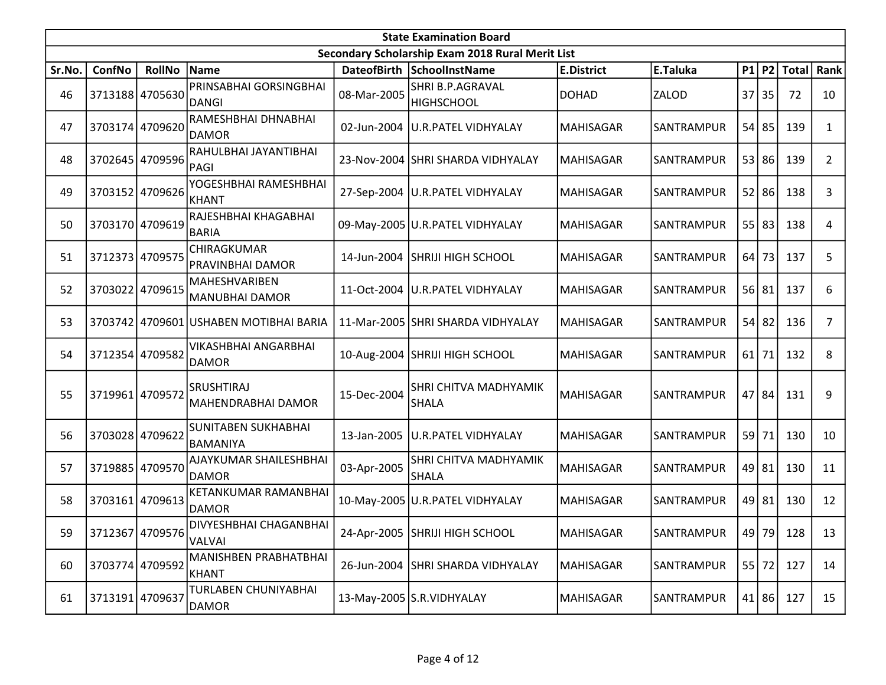|        | <b>State Examination Board</b><br>Secondary Scholarship Exam 2018 Rural Merit List |                 |                                             |             |                                       |                   |            |       |           |       |                |  |  |
|--------|------------------------------------------------------------------------------------|-----------------|---------------------------------------------|-------------|---------------------------------------|-------------------|------------|-------|-----------|-------|----------------|--|--|
|        |                                                                                    |                 |                                             |             |                                       |                   |            |       |           |       |                |  |  |
| Sr.No. | ConfNo                                                                             | <b>RollNo</b>   | Name                                        |             | DateofBirth SchoolInstName            | <b>E.District</b> | E.Taluka   |       | P1 P2     | Total | Rank           |  |  |
| 46     |                                                                                    | 3713188 4705630 | PRINSABHAI GORSINGBHAI<br>DANGI             | 08-Mar-2005 | SHRI B.P.AGRAVAL<br><b>HIGHSCHOOL</b> | <b>DOHAD</b>      | ZALOD      | 37    | 35        | 72    | 10             |  |  |
| 47     |                                                                                    | 3703174 4709620 | RAMESHBHAI DHNABHAI<br><b>DAMOR</b>         | 02-Jun-2004 | <b>U.R.PATEL VIDHYALAY</b>            | MAHISAGAR         | SANTRAMPUR |       | $54$ 85   | 139   | 1              |  |  |
| 48     |                                                                                    | 3702645 4709596 | RAHULBHAI JAYANTIBHAI<br>PAGI               |             | 23-Nov-2004 SHRI SHARDA VIDHYALAY     | MAHISAGAR         | SANTRAMPUR |       | 53 86     | 139   | $\overline{2}$ |  |  |
| 49     |                                                                                    | 3703152 4709626 | YOGESHBHAI RAMESHBHAI<br>KHANT              |             | 27-Sep-2004 U.R.PATEL VIDHYALAY       | MAHISAGAR         | SANTRAMPUR |       | $52$   86 | 138   | 3              |  |  |
| 50     |                                                                                    | 3703170 4709619 | RAJESHBHAI KHAGABHAI<br><b>BARIA</b>        |             | 09-May-2005 U.R.PATEL VIDHYALAY       | MAHISAGAR         | SANTRAMPUR |       | $55$ 83   | 138   | 4              |  |  |
| 51     |                                                                                    | 3712373 4709575 | CHIRAGKUMAR<br>PRAVINBHAI DAMOR             | 14-Jun-2004 | <b>SHRIJI HIGH SCHOOL</b>             | MAHISAGAR         | SANTRAMPUR |       | $64$ 73   | 137   | 5              |  |  |
| 52     |                                                                                    | 3703022 4709615 | MAHESHVARIBEN<br>MANUBHAI DAMOR             | 11-Oct-2004 | U.R.PATEL VIDHYALAY                   | <b>MAHISAGAR</b>  | SANTRAMPUR |       | 56 81     | 137   | 6              |  |  |
| 53     |                                                                                    |                 | 3703742 4709601 USHABEN MOTIBHAI BARIA      |             | 11-Mar-2005 SHRI SHARDA VIDHYALAY     | <b>MAHISAGAR</b>  | SANTRAMPUR |       | $54$   82 | 136   | 7              |  |  |
| 54     |                                                                                    | 3712354 4709582 | <b>VIKASHBHAI ANGARBHAI</b><br><b>DAMOR</b> |             | 10-Aug-2004 SHRIJI HIGH SCHOOL        | <b>MAHISAGAR</b>  | SANTRAMPUR |       | $61$ 71   | 132   | 8              |  |  |
| 55     | 3719961 4709572                                                                    |                 | <b>SRUSHTIRAJ</b><br>MAHENDRABHAI DAMOR     | 15-Dec-2004 | SHRI CHITVA MADHYAMIK<br><b>SHALA</b> | <b>MAHISAGAR</b>  | SANTRAMPUR |       | 47   84   | 131   | 9              |  |  |
| 56     | 3703028 4709622                                                                    |                 | SUNITABEN SUKHABHAI<br>BAMANIYA             | 13-Jan-2005 | <b>U.R.PATEL VIDHYALAY</b>            | <b>MAHISAGAR</b>  | SANTRAMPUR |       | 59 71     | 130   | 10             |  |  |
| 57     |                                                                                    | 3719885 4709570 | AJAYKUMAR SHAILESHBHAI<br><b>DAMOR</b>      | 03-Apr-2005 | SHRI CHITVA MADHYAMIK<br><b>SHALA</b> | <b>MAHISAGAR</b>  | SANTRAMPUR | 49 81 |           | 130   | 11             |  |  |
| 58     |                                                                                    | 3703161 4709613 | KETANKUMAR RAMANBHAI<br><b>DAMOR</b>        |             | 10-May-2005 U.R. PATEL VIDHYALAY      | <b>MAHISAGAR</b>  | SANTRAMPUR |       | $49$   81 | 130   | 12             |  |  |
| 59     |                                                                                    | 3712367 4709576 | DIVYESHBHAI CHAGANBHAI<br>VALVAI            |             | 24-Apr-2005 SHRIJI HIGH SCHOOL        | <b>MAHISAGAR</b>  | SANTRAMPUR |       | 49 79     | 128   | 13             |  |  |
| 60     |                                                                                    | 3703774 4709592 | MANISHBEN PRABHATBHAI<br><b>KHANT</b>       | 26-Jun-2004 | SHRI SHARDA VIDHYALAY                 | MAHISAGAR         | SANTRAMPUR |       | $55$ 72   | 127   | 14             |  |  |
| 61     |                                                                                    | 3713191 4709637 | TURLABEN CHUNIYABHAI<br>DAMOR               |             | 13-May-2005 S.R. VIDHYALAY            | <b>MAHISAGAR</b>  | SANTRAMPUR |       | 41 86     | 127   | 15             |  |  |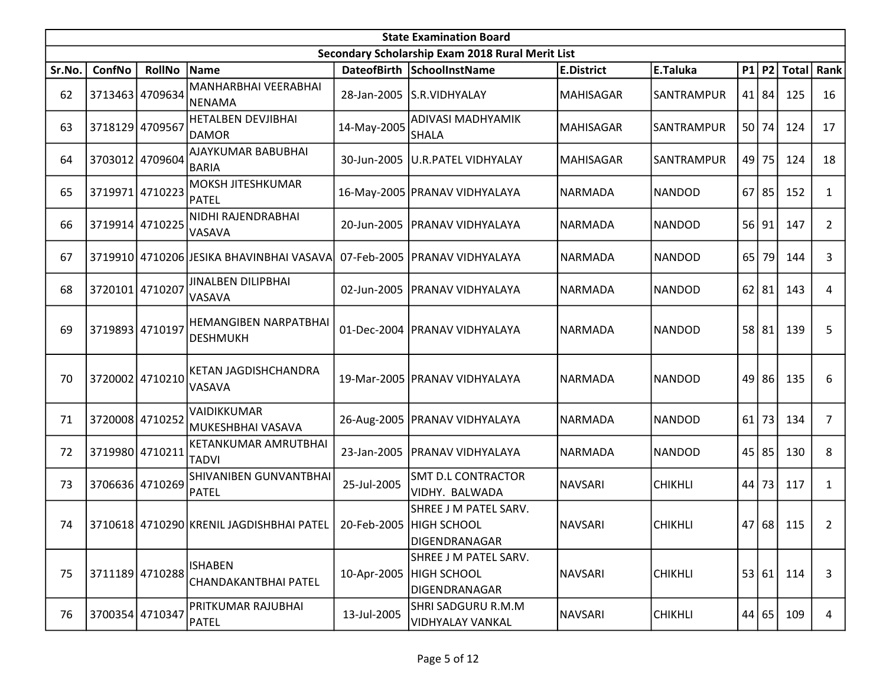|        | <b>State Examination Board</b> |                 |                                                                  |             |                                                              |                   |                |    |       |               |                |  |  |
|--------|--------------------------------|-----------------|------------------------------------------------------------------|-------------|--------------------------------------------------------------|-------------------|----------------|----|-------|---------------|----------------|--|--|
|        |                                |                 |                                                                  |             | Secondary Scholarship Exam 2018 Rural Merit List             |                   |                |    |       |               |                |  |  |
| Sr.No. | ConfNo                         | <b>RollNo</b>   | Name                                                             |             | DateofBirth SchoolInstName                                   | <b>E.District</b> | E.Taluka       |    |       | $P1$ P2 Total | Rank           |  |  |
| 62     |                                | 3713463 4709634 | MANHARBHAI VEERABHAI<br>NENAMA                                   | 28-Jan-2005 | ls.r.vidhyalay                                               | <b>MAHISAGAR</b>  | SANTRAMPUR     |    | 41 84 | 125           | 16             |  |  |
| 63     |                                | 3718129 4709567 | HETALBEN DEVJIBHAI<br><b>DAMOR</b>                               | 14-May-2005 | ADIVASI MADHYAMIK<br>SHALA                                   | MAHISAGAR         | SANTRAMPUR     |    | 50 74 | 124           | 17             |  |  |
| 64     |                                | 3703012 4709604 | AJAYKUMAR BABUBHAI<br><b>BARIA</b>                               |             | 30-Jun-2005 U.R.PATEL VIDHYALAY                              | <b>MAHISAGAR</b>  | SANTRAMPUR     |    | 49 75 | 124           | 18             |  |  |
| 65     |                                | 3719971 4710223 | <b>MOKSH JITESHKUMAR</b><br>PATEL                                |             | 16-May-2005 PRANAV VIDHYALAYA                                | <b>NARMADA</b>    | <b>NANDOD</b>  | 67 | 85    | 152           | 1              |  |  |
| 66     |                                | 3719914 4710225 | NIDHI RAJENDRABHAI<br><b>VASAVA</b>                              |             | 20-Jun-2005   PRANAV VIDHYALAYA                              | <b>NARMADA</b>    | NANDOD         |    | 56 91 | 147           | $\overline{2}$ |  |  |
| 67     |                                |                 | 3719910 4710206 JESIKA BHAVINBHAI VASAVA                         |             | 07-Feb-2005   PRANAV VIDHYALAYA                              | NARMADA           | <b>NANDOD</b>  | 65 | 79    | 144           | 3              |  |  |
| 68     | 3720101 4710207                |                 | <b>JINALBEN DILIPBHAI</b><br><b>VASAVA</b>                       | 02-Jun-2005 | PRANAV VIDHYALAYA                                            | <b>NARMADA</b>    | <b>NANDOD</b>  | 62 | 81    | 143           | 4              |  |  |
| 69     | 3719893 4710197                |                 | <b>HEMANGIBEN NARPATBHAI</b><br><b>DESHMUKH</b>                  | 01-Dec-2004 | <b>PRANAV VIDHYALAYA</b>                                     | NARMADA           | <b>NANDOD</b>  |    | 58 81 | 139           | 5              |  |  |
| 70     |                                | 3720002 4710210 | KETAN JAGDISHCHANDRA<br>VASAVA                                   |             | 19-Mar-2005   PRANAV VIDHYALAYA                              | NARMADA           | <b>NANDOD</b>  |    | 49 86 | 135           | 6              |  |  |
| 71     |                                | 3720008 4710252 | VAIDIKKUMAR<br>MUKESHBHAI VASAVA                                 |             | 26-Aug-2005   PRANAV VIDHYALAYA                              | <b>NARMADA</b>    | NANDOD         | 61 | 73    | 134           | 7              |  |  |
| 72     |                                | 3719980 4710211 | KETANKUMAR AMRUTBHAI<br><b>TADVI</b>                             | 23-Jan-2005 | PRANAV VIDHYALAYA                                            | NARMADA           | NANDOD         | 45 | 85    | 130           | 8              |  |  |
| 73     |                                | 3706636 4710269 | SHIVANIBEN GUNVANTBHAI<br><b>PATEL</b>                           | 25-Jul-2005 | <b>SMT D.L CONTRACTOR</b><br>VIDHY. BALWADA                  | NAVSARI           | <b>CHIKHLI</b> | 44 | 73    | 117           | 1              |  |  |
| 74     |                                |                 | 3710618 4710290 KRENIL JAGDISHBHAI PATEL 20-Feb-2005 HIGH SCHOOL |             | SHREE J M PATEL SARV.<br>DIGENDRANAGAR                       | <b>NAVSARI</b>    | <b>CHIKHLI</b> |    |       | 47 68 115     | 2              |  |  |
| 75     |                                | 3711189 4710288 | <b>ISHABEN</b><br>CHANDAKANTBHAI PATEL                           | 10-Apr-2005 | SHREE J M PATEL SARV.<br><b>HIGH SCHOOL</b><br>DIGENDRANAGAR | NAVSARI           | <b>CHIKHLI</b> |    | 53 61 | 114           | 3              |  |  |
| 76     |                                | 3700354 4710347 | PRITKUMAR RAJUBHAI<br>PATEL                                      | 13-Jul-2005 | SHRI SADGURU R.M.M<br>VIDHYALAY VANKAL                       | NAVSARI           | <b>CHIKHLI</b> |    | 44 65 | 109           | 4              |  |  |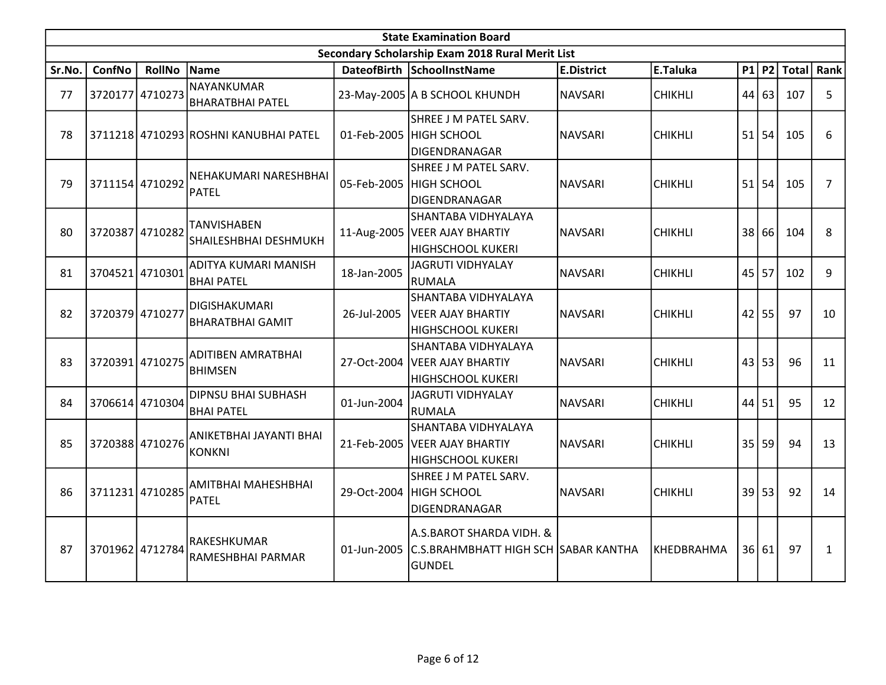|        | <b>State Examination Board</b><br>Secondary Scholarship Exam 2018 Rural Merit List |                 |                                                 |             |                                                                                     |                   |                   |    |           |     |                |  |  |  |
|--------|------------------------------------------------------------------------------------|-----------------|-------------------------------------------------|-------------|-------------------------------------------------------------------------------------|-------------------|-------------------|----|-----------|-----|----------------|--|--|--|
|        |                                                                                    |                 |                                                 |             |                                                                                     |                   |                   |    |           |     |                |  |  |  |
| Sr.No. | <b>ConfNo</b>                                                                      | RollNo Name     |                                                 |             | DateofBirth SchoolInstName                                                          | <b>E.District</b> | E.Taluka          |    | $P1$ P2   |     | Total Rank     |  |  |  |
| 77     |                                                                                    | 3720177 4710273 | NAYANKUMAR<br><b>BHARATBHAI PATEL</b>           |             | 23-May-2005 A B SCHOOL KHUNDH                                                       | <b>NAVSARI</b>    | <b>CHIKHLI</b>    |    | 44 63     | 107 | 5              |  |  |  |
| 78     |                                                                                    |                 | 3711218 4710293 ROSHNI KANUBHAI PATEL           |             | SHREE J M PATEL SARV.<br>01-Feb-2005 HIGH SCHOOL<br>DIGENDRANAGAR                   | <b>NAVSARI</b>    | <b>CHIKHLI</b>    |    | $51$ 54   | 105 | 6              |  |  |  |
| 79     |                                                                                    | 3711154 4710292 | NEHAKUMARI NARESHBHAI<br>PATEL                  |             | SHREE J M PATEL SARV.<br>05-Feb-2005  HIGH SCHOOL<br>DIGENDRANAGAR                  | <b>NAVSARI</b>    | <b>CHIKHLI</b>    |    | 51 54     | 105 | $\overline{7}$ |  |  |  |
| 80     |                                                                                    | 3720387 4710282 | <b>TANVISHABEN</b><br>SHAILESHBHAI DESHMUKH     |             | SHANTABA VIDHYALAYA<br>11-Aug-2005   VEER AJAY BHARTIY<br><b>HIGHSCHOOL KUKERI</b>  | <b>NAVSARI</b>    | <b>CHIKHLI</b>    | 38 | 66        | 104 | 8              |  |  |  |
| 81     |                                                                                    | 3704521 4710301 | ADITYA KUMARI MANISH<br><b>BHAI PATEL</b>       | 18-Jan-2005 | <b>JAGRUTI VIDHYALAY</b><br><b>RUMALA</b>                                           | <b>NAVSARI</b>    | <b>CHIKHLI</b>    |    | $45$   57 | 102 | 9              |  |  |  |
| 82     | 3720379 4710277                                                                    |                 | <b>DIGISHAKUMARI</b><br><b>BHARATBHAI GAMIT</b> |             | İSHANTABA VIDHYALAYA<br>26-Jul-2005   VEER AJAY BHARTIY<br><b>HIGHSCHOOL KUKERI</b> | <b>NAVSARI</b>    | <b>CHIKHLI</b>    |    | $42$ 55   | 97  | 10             |  |  |  |
| 83     |                                                                                    | 3720391 4710275 | <b>ADITIBEN AMRATBHAI</b><br><b>BHIMSEN</b>     |             | SHANTABA VIDHYALAYA<br>27-Oct-2004   VEER AJAY BHARTIY<br><b>HIGHSCHOOL KUKERI</b>  | <b>NAVSARI</b>    | <b>CHIKHLI</b>    |    | 43 53     | 96  | 11             |  |  |  |
| 84     |                                                                                    | 3706614 4710304 | <b>DIPNSU BHAI SUBHASH</b><br><b>BHAI PATEL</b> | 01-Jun-2004 | <b>JAGRUTI VIDHYALAY</b><br><b>RUMALA</b>                                           | <b>NAVSARI</b>    | <b>CHIKHLI</b>    |    | $44$ 51   | 95  | 12             |  |  |  |
| 85     |                                                                                    | 3720388 4710276 | ANIKETBHAI JAYANTI BHAI<br><b>KONKNI</b>        |             | SHANTABA VIDHYALAYA<br>21-Feb-2005   VEER AJAY BHARTIY<br><b>HIGHSCHOOL KUKERI</b>  | <b>NAVSARI</b>    | <b>CHIKHLI</b>    |    | 35 59     | 94  | 13             |  |  |  |
| 86     |                                                                                    | 3711231 4710285 | AMITBHAI MAHESHBHAI<br>PATEL                    |             | SHREE J M PATEL SARV.<br>29-Oct-2004 HIGH SCHOOL<br>DIGENDRANAGAR                   | <b>NAVSARI</b>    | <b>CHIKHLI</b>    |    | 39 53     | 92  | 14             |  |  |  |
| 87     |                                                                                    | 3701962 4712784 | RAKESHKUMAR<br>RAMESHBHAI PARMAR                | 01-Jun-2005 | A.S.BAROT SHARDA VIDH. &<br>C.S.BRAHMBHATT HIGH SCH SABAR KANTHA<br>lgundel         |                   | <b>KHEDBRAHMA</b> |    | 36 61     | 97  | $\mathbf{1}$   |  |  |  |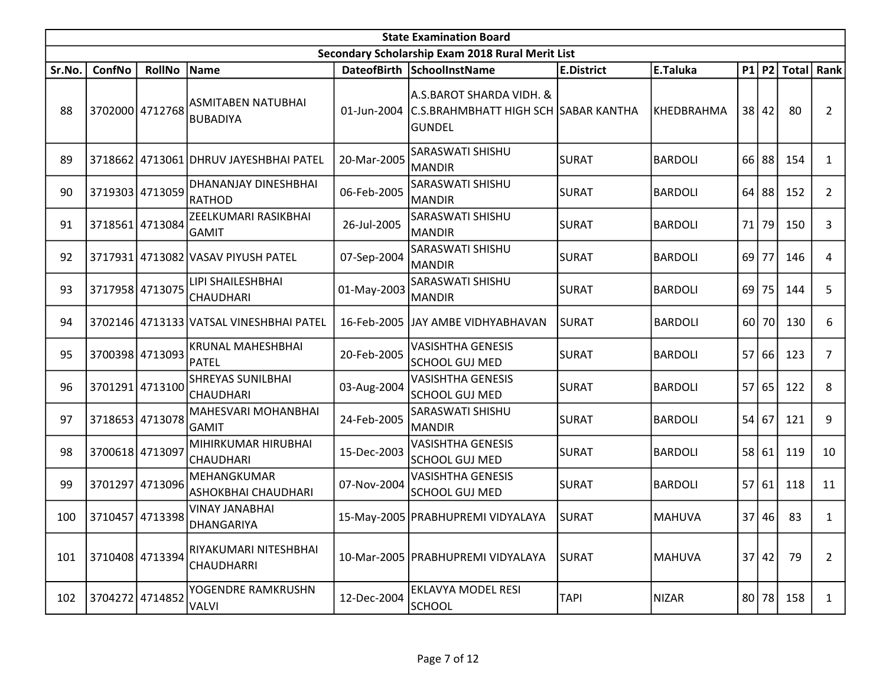|        | <b>State Examination Board</b><br>Secondary Scholarship Exam 2018 Rural Merit List |                 |                                              |             |                                                                                               |                   |                |                 |       |               |                |  |  |  |
|--------|------------------------------------------------------------------------------------|-----------------|----------------------------------------------|-------------|-----------------------------------------------------------------------------------------------|-------------------|----------------|-----------------|-------|---------------|----------------|--|--|--|
|        |                                                                                    |                 |                                              |             |                                                                                               |                   |                |                 |       |               |                |  |  |  |
| Sr.No. | ConfNo                                                                             | <b>RollNo</b>   | Name                                         |             | DateofBirth SchoolInstName                                                                    | <b>E.District</b> | E.Taluka       |                 |       | $P1$ P2 Total | Rank           |  |  |  |
| 88     |                                                                                    | 3702000 4712768 | ASMITABEN NATUBHAI<br><b>BUBADIYA</b>        |             | A.S.BAROT SHARDA VIDH. &<br>01-Jun-2004 C.S.BRAHMBHATT HIGH SCH SABAR KANTHA<br><b>GUNDEL</b> |                   | KHEDBRAHMA     | 38 <sup>1</sup> | 42    | 80            | $\overline{2}$ |  |  |  |
| 89     |                                                                                    |                 | 3718662 4713061 DHRUV JAYESHBHAI PATEL       | 20-Mar-2005 | SARASWATI SHISHU<br><b>MANDIR</b>                                                             | <b>SURAT</b>      | <b>BARDOLI</b> | 66              | 88    | 154           | $\mathbf{1}$   |  |  |  |
| 90     |                                                                                    | 3719303 4713059 | DHANANJAY DINESHBHAI<br><b>RATHOD</b>        | 06-Feb-2005 | SARASWATI SHISHU<br><b>MANDIR</b>                                                             | <b>SURAT</b>      | <b>BARDOLI</b> | 64              | 88    | 152           | $\overline{2}$ |  |  |  |
| 91     |                                                                                    | 3718561 4713084 | ZEELKUMARI RASIKBHAI<br><b>GAMIT</b>         | 26-Jul-2005 | SARASWATI SHISHU<br><b>MANDIR</b>                                                             | <b>SURAT</b>      | <b>BARDOLI</b> | 71              | 79    | 150           | 3              |  |  |  |
| 92     |                                                                                    |                 | 3717931 4713082 VASAV PIYUSH PATEL           | 07-Sep-2004 | SARASWATI SHISHU<br><b>MANDIR</b>                                                             | <b>SURAT</b>      | <b>BARDOLI</b> | 69              | 77    | 146           | 4              |  |  |  |
| 93     |                                                                                    | 3717958 4713075 | LIPI SHAILESHBHAI<br>CHAUDHARI               | 01-May-2003 | SARASWATI SHISHU<br><b>MANDIR</b>                                                             | <b>SURAT</b>      | <b>BARDOLI</b> | 69              | 75    | 144           | 5              |  |  |  |
| 94     |                                                                                    |                 | 3702146 4713133 VATSAL VINESHBHAI PATEL      |             | 16-Feb-2005 JJAY AMBE VIDHYABHAVAN                                                            | lsurat            | <b>BARDOLI</b> |                 | 60 70 | 130           | 6              |  |  |  |
| 95     |                                                                                    | 3700398 4713093 | <b>KRUNAL MAHESHBHAI</b><br><b>PATEL</b>     | 20-Feb-2005 | <b>VASISHTHA GENESIS</b><br><b>SCHOOL GUJ MED</b>                                             | <b>SURAT</b>      | <b>BARDOLI</b> | 57              | 66    | 123           | $\overline{7}$ |  |  |  |
| 96     |                                                                                    | 3701291 4713100 | <b>SHREYAS SUNILBHAI</b><br><b>CHAUDHARI</b> | 03-Aug-2004 | <b>VASISHTHA GENESIS</b><br><b>SCHOOL GUJ MED</b>                                             | <b>SURAT</b>      | <b>BARDOLI</b> | 57              | 65    | 122           | 8              |  |  |  |
| 97     |                                                                                    | 3718653 4713078 | MAHESVARI MOHANBHAI<br><b>GAMIT</b>          | 24-Feb-2005 | SARASWATI SHISHU<br><b>MANDIR</b>                                                             | <b>SURAT</b>      | <b>BARDOLI</b> | 54              | 67    | 121           | 9              |  |  |  |
| 98     |                                                                                    | 3700618 4713097 | MIHIRKUMAR HIRUBHAI<br><b>CHAUDHARI</b>      | 15-Dec-2003 | <b>VASISHTHA GENESIS</b><br><b>SCHOOL GUJ MED</b>                                             | <b>SURAT</b>      | <b>BARDOLI</b> | 58              | 61    | 119           | 10             |  |  |  |
| 99     |                                                                                    | 3701297 4713096 | MEHANGKUMAR<br><b>ASHOKBHAI CHAUDHARI</b>    | 07-Nov-2004 | <b>VASISHTHA GENESIS</b><br><b>SCHOOL GUJ MED</b>                                             | <b>SURAT</b>      | <b>BARDOLI</b> | 57              | 61    | 118           | 11             |  |  |  |
| 100    |                                                                                    | 3710457 4713398 | <b>VINAY JANABHAI</b><br>DHANGARIYA          |             | 15-May-2005 PRABHUPREMI VIDYALAYA                                                             | <b>SURAT</b>      | <b>MAHUVA</b>  | 37              | 46    | 83            | 1              |  |  |  |
| 101    | 3710408 4713394                                                                    |                 | RIYAKUMARI NITESHBHAI<br><b>CHAUDHARRI</b>   |             | 10-Mar-2005   PRABHUPREMI VIDYALAYA                                                           | <b>SURAT</b>      | <b>MAHUVA</b>  | 37 <sup>1</sup> | 42    | 79            | $\overline{2}$ |  |  |  |
| 102    |                                                                                    | 3704272 4714852 | YOGENDRE RAMKRUSHN<br><b>VALVI</b>           | 12-Dec-2004 | EKLAVYA MODEL RESI<br><b>SCHOOL</b>                                                           | <b>TAPI</b>       | <b>NIZAR</b>   | 80              | 78    | 158           | $\mathbf{1}$   |  |  |  |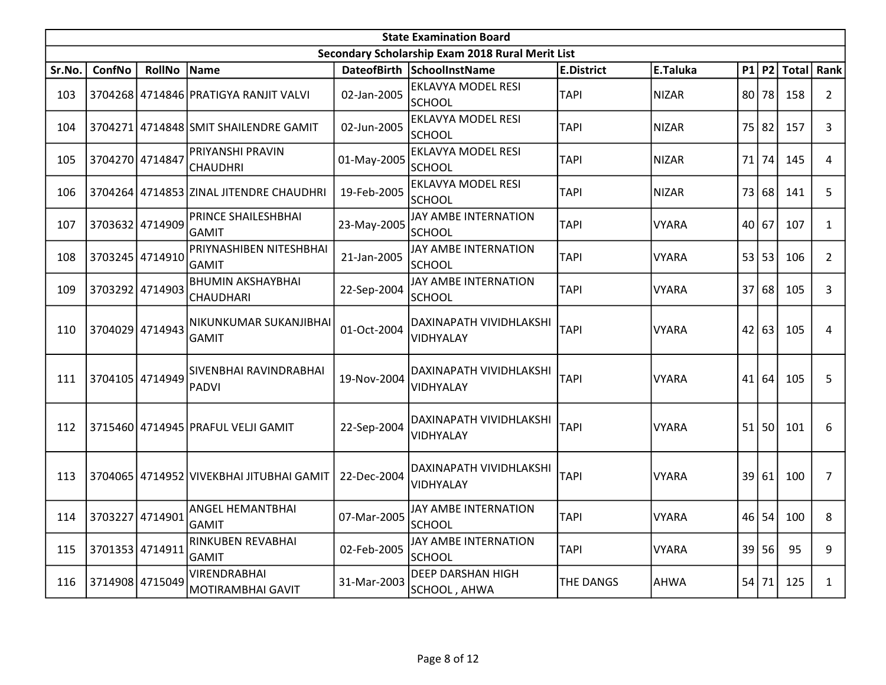|        | <b>State Examination Board</b><br>Secondary Scholarship Exam 2018 Rural Merit List |                 |                                          |             |                                            |                   |              |      |           |              |                |  |  |
|--------|------------------------------------------------------------------------------------|-----------------|------------------------------------------|-------------|--------------------------------------------|-------------------|--------------|------|-----------|--------------|----------------|--|--|
|        |                                                                                    |                 |                                          |             |                                            |                   |              |      |           |              |                |  |  |
| Sr.No. | <b>ConfNo</b>                                                                      | <b>RollNo</b>   | Name                                     |             | DateofBirth SchoolInstName                 | <b>E.District</b> | E.Taluka     | P1   | <b>P2</b> | <b>Total</b> | Rank           |  |  |
| 103    |                                                                                    |                 | 3704268 4714846 PRATIGYA RANJIT VALVI    | 02-Jan-2005 | <b>EKLAVYA MODEL RESI</b><br><b>SCHOOL</b> | <b>TAPI</b>       | <b>NIZAR</b> | 80 l | 78        | 158          | $\overline{2}$ |  |  |
| 104    |                                                                                    |                 | 3704271 4714848 SMIT SHAILENDRE GAMIT    | 02-Jun-2005 | <b>EKLAVYA MODEL RESI</b><br><b>SCHOOL</b> | <b>TAPI</b>       | <b>NIZAR</b> | 75   | 82        | 157          | 3              |  |  |
| 105    | 3704270 4714847                                                                    |                 | PRIYANSHI PRAVIN<br><b>CHAUDHRI</b>      | 01-May-2005 | <b>EKLAVYA MODEL RESI</b><br>SCHOOL        | <b>TAPI</b>       | <b>NIZAR</b> | 71   | 74        | 145          | 4              |  |  |
| 106    |                                                                                    |                 | 3704264 4714853 ZINAL JITENDRE CHAUDHRI  | 19-Feb-2005 | <b>EKLAVYA MODEL RESI</b><br><b>SCHOOL</b> | <b>TAPI</b>       | <b>NIZAR</b> | 73   | 68        | 141          | 5              |  |  |
| 107    |                                                                                    | 3703632 4714909 | PRINCE SHAILESHBHAI<br><b>GAMIT</b>      | 23-May-2005 | JAY AMBE INTERNATION<br><b>SCHOOL</b>      | <b>TAPI</b>       | <b>VYARA</b> |      | 40 67     | 107          | $\mathbf{1}$   |  |  |
| 108    |                                                                                    | 3703245 4714910 | PRIYNASHIBEN NITESHBHAI<br>GAMIT         | 21-Jan-2005 | JAY AMBE INTERNATION<br><b>SCHOOL</b>      | <b>TAPI</b>       | <b>VYARA</b> | 53   | 53        | 106          | $\overline{2}$ |  |  |
| 109    | 3703292 4714903                                                                    |                 | <b>BHUMIN AKSHAYBHAI</b><br>CHAUDHARI    | 22-Sep-2004 | <b>JAY AMBE INTERNATION</b><br>SCHOOL      | <b>TAPI</b>       | <b>VYARA</b> | 37   | 68        | 105          | 3              |  |  |
| 110    |                                                                                    | 3704029 4714943 | NIKUNKUMAR SUKANJIBHAI<br><b>GAMIT</b>   | 01-Oct-2004 | DAXINAPATH VIVIDHLAKSHI<br>VIDHYALAY       | <b>TAPI</b>       | <b>VYARA</b> | 42   | 63        | 105          | 4              |  |  |
| 111    | 3704105 4714949                                                                    |                 | SIVENBHAI RAVINDRABHAI<br><b>PADVI</b>   | 19-Nov-2004 | DAXINAPATH VIVIDHLAKSHI<br>VIDHYALAY       | <b>TAPI</b>       | <b>VYARA</b> | 41   | 64        | 105          | 5              |  |  |
| 112    |                                                                                    |                 | 3715460 4714945 PRAFUL VELJI GAMIT       | 22-Sep-2004 | DAXINAPATH VIVIDHLAKSHI<br>VIDHYALAY       | <b>TAPI</b>       | <b>VYARA</b> | 51   | 50        | 101          | 6              |  |  |
| 113    |                                                                                    |                 | 3704065 4714952 VIVEKBHAI JITUBHAI GAMIT | 22-Dec-2004 | DAXINAPATH VIVIDHLAKSHI<br>VIDHYALAY       | <b>TAPI</b>       | <b>VYARA</b> | 39   | 61        | 100          | $\overline{7}$ |  |  |
| 114    | 3703227 4714901                                                                    |                 | ANGEL HEMANTBHAI<br>GAMIT                | 07-Mar-2005 | JAY AMBE INTERNATION<br><b>SCHOOL</b>      | <b>TAPI</b>       | <b>VYARA</b> | 46   | 54        | 100          | 8              |  |  |
| 115    | 3701353 4714911                                                                    |                 | RINKUBEN REVABHAI<br><b>GAMIT</b>        | 02-Feb-2005 | JAY AMBE INTERNATION<br><b>SCHOOL</b>      | <b>TAPI</b>       | <b>VYARA</b> | 39   | 56        | 95           | 9              |  |  |
| 116    |                                                                                    | 3714908 4715049 | <b>VIRENDRABHAI</b><br>MOTIRAMBHAI GAVIT | 31-Mar-2003 | <b>DEEP DARSHAN HIGH</b><br>SCHOOL, AHWA   | <b>THE DANGS</b>  | <b>AHWA</b>  | 54   | 71        | 125          | $\mathbf{1}$   |  |  |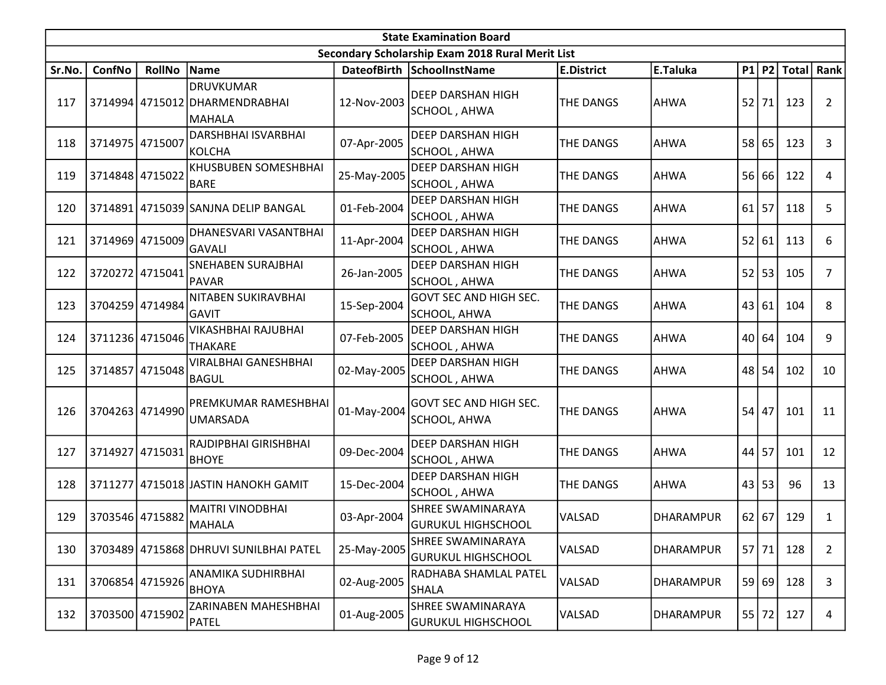|        | <b>State Examination Board</b> |                 |                                                                     |             |                                                       |                   |                  |         |       |                  |                |  |
|--------|--------------------------------|-----------------|---------------------------------------------------------------------|-------------|-------------------------------------------------------|-------------------|------------------|---------|-------|------------------|----------------|--|
|        |                                |                 |                                                                     |             | Secondary Scholarship Exam 2018 Rural Merit List      |                   |                  |         |       |                  |                |  |
| Sr.No. | ConfNo                         | <b>RollNo</b>   | Name                                                                |             | DateofBirth SchoolInstName                            | <b>E.District</b> | E.Taluka         |         |       | P1 P2 Total Rank |                |  |
| 117    |                                |                 | <b>DRUVKUMAR</b><br>3714994 4715012 DHARMENDRABHAI<br><b>MAHALA</b> | 12-Nov-2003 | <b>DEEP DARSHAN HIGH</b><br>SCHOOL, AHWA              | THE DANGS         | <b>AHWA</b>      | 52      | 71    | 123              | $\overline{2}$ |  |
| 118    | 3714975 4715007                |                 | DARSHBHAI ISVARBHAI<br><b>KOLCHA</b>                                | 07-Apr-2005 | DEEP DARSHAN HIGH<br>SCHOOL, AHWA                     | <b>THE DANGS</b>  | <b>AHWA</b>      |         | 58 65 | 123              | 3              |  |
| 119    | 3714848 4715022                |                 | KHUSBUBEN SOMESHBHAI<br><b>BARE</b>                                 | 25-May-2005 | <b>DEEP DARSHAN HIGH</b><br>SCHOOL , AHWA             | <b>THE DANGS</b>  | <b>AHWA</b>      | 56      | 66    | 122              | 4              |  |
| 120    |                                |                 | 3714891 4715039 SANJNA DELIP BANGAL                                 | 01-Feb-2004 | <b>DEEP DARSHAN HIGH</b><br>SCHOOL, AHWA              | <b>THE DANGS</b>  | <b>AHWA</b>      | 61      | 57    | 118              | 5              |  |
| 121    |                                | 3714969 4715009 | DHANESVARI VASANTBHAI<br><b>GAVALI</b>                              | 11-Apr-2004 | <b>DEEP DARSHAN HIGH</b><br>SCHOOL , AHWA             | THE DANGS         | <b>AHWA</b>      | 52      | 61    | 113              | 6              |  |
| 122    |                                | 3720272 4715041 | SNEHABEN SURAJBHAI<br><b>PAVAR</b>                                  | 26-Jan-2005 | <b>DEEP DARSHAN HIGH</b><br>SCHOOL, AHWA              | THE DANGS         | <b>AHWA</b>      | 52      | 53    | 105              | $\overline{7}$ |  |
| 123    |                                | 3704259 4714984 | NITABEN SUKIRAVBHAI<br><b>GAVIT</b>                                 | 15-Sep-2004 | GOVT SEC AND HIGH SEC.<br>SCHOOL, AHWA                | <b>THE DANGS</b>  | <b>AHWA</b>      | 43 61   |       | 104              | 8              |  |
| 124    |                                | 3711236 4715046 | VIKASHBHAI RAJUBHAI<br><b>THAKARE</b>                               | 07-Feb-2005 | <b>DEEP DARSHAN HIGH</b><br>SCHOOL, AHWA              | THE DANGS         | <b>AHWA</b>      |         | 40 64 | 104              | 9              |  |
| 125    | 3714857                        | 4715048         | VIRALBHAI GANESHBHAI<br><b>BAGUL</b>                                | 02-May-2005 | <b>DEEP DARSHAN HIGH</b><br>SCHOOL, AHWA              | THE DANGS         | <b>AHWA</b>      | 48      | 54    | 102              | 10             |  |
| 126    |                                | 3704263 4714990 | PREMKUMAR RAMESHBHAI<br><b>UMARSADA</b>                             | 01-May-2004 | <b>GOVT SEC AND HIGH SEC.</b><br><b>SCHOOL, AHWA</b>  | THE DANGS         | <b>AHWA</b>      | 54      | 47    | 101              | 11             |  |
| 127    | 3714927 4715031                |                 | RAJDIPBHAI GIRISHBHAI<br><b>BHOYE</b>                               | 09-Dec-2004 | DEEP DARSHAN HIGH<br>SCHOOL, AHWA                     | THE DANGS         | <b>AHWA</b>      | 44      | 57    | 101              | 12             |  |
| 128    | 3711277                        |                 | 4715018 JASTIN HANOKH GAMIT                                         | 15-Dec-2004 | <b>DEEP DARSHAN HIGH</b><br>SCHOOL, AHWA              | THE DANGS         | <b>AHWA</b>      | 43      | 53    | 96               | 13             |  |
| 129    |                                | 3703546 4715882 | <b>MAITRI VINODBHAI</b><br>MAHALA                                   | 03-Apr-2004 | <b>SHREE SWAMINARAYA</b><br>GURUKUL HIGHSCHOOL        | VALSAD            | <b>DHARAMPUR</b> | $62$ 67 |       | 129              | 1              |  |
| 130    |                                |                 | 3703489 4715868 DHRUVI SUNILBHAI PATEL                              | 25-May-2005 | <b>SHREE SWAMINARAYA</b><br><b>GURUKUL HIGHSCHOOL</b> | VALSAD            | <b>DHARAMPUR</b> | $57$ 71 |       | 128              | $\overline{2}$ |  |
| 131    |                                | 3706854 4715926 | ANAMIKA SUDHIRBHAI<br><b>BHOYA</b>                                  | 02-Aug-2005 | RADHABA SHAMLAL PATEL<br>SHALA                        | VALSAD            | <b>DHARAMPUR</b> |         | 59 69 | 128              | 3              |  |
| 132    |                                | 3703500 4715902 | ZARINABEN MAHESHBHAI<br><b>PATEL</b>                                | 01-Aug-2005 | SHREE SWAMINARAYA<br>GURUKUL HIGHSCHOOL               | VALSAD            | <b>DHARAMPUR</b> | 55      | 72    | 127              | 4              |  |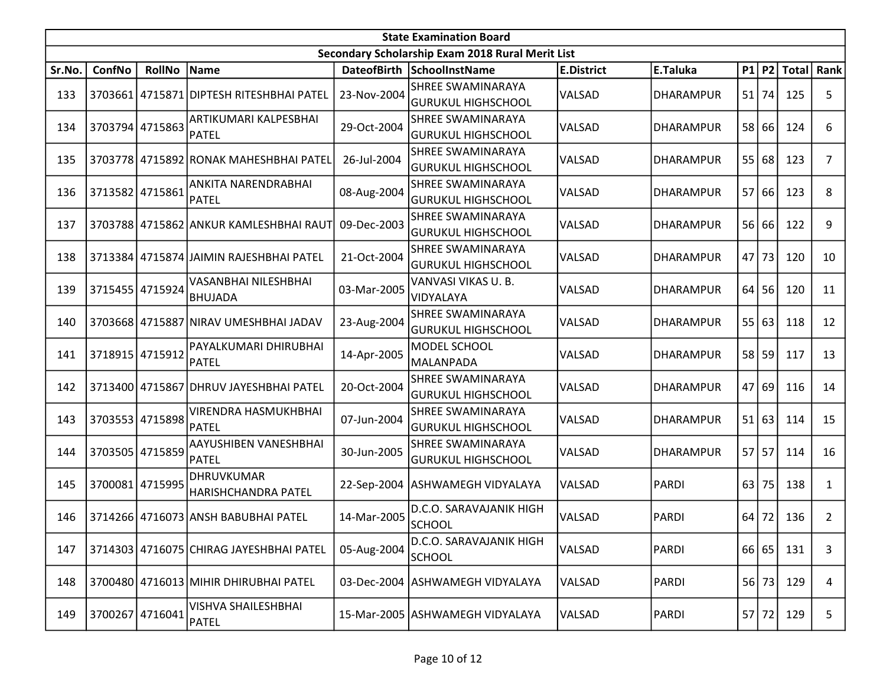|        | <b>State Examination Board</b> |                 |                                         |             |                                                  |                   |                  |       |         |             |                |  |  |
|--------|--------------------------------|-----------------|-----------------------------------------|-------------|--------------------------------------------------|-------------------|------------------|-------|---------|-------------|----------------|--|--|
|        |                                |                 |                                         |             | Secondary Scholarship Exam 2018 Rural Merit List |                   |                  |       |         |             |                |  |  |
| Sr.No. | ConfNo                         | <b>RollNo</b>   | Name                                    |             | DateofBirth SchoolInstName                       | <b>E.District</b> | E.Taluka         |       |         | P1 P2 Total | Rank           |  |  |
| 133    | 3703661                        |                 | 4715871 DIPTESH RITESHBHAI PATEL        | 23-Nov-2004 | <b>SHREE SWAMINARAYA</b>                         | VALSAD            | <b>DHARAMPUR</b> | 51    | 74      | 125         | 5              |  |  |
|        |                                |                 |                                         |             | <b>GURUKUL HIGHSCHOOL</b>                        |                   |                  |       |         |             |                |  |  |
| 134    |                                | 3703794 4715863 | ARTIKUMARI KALPESBHAI                   | 29-Oct-2004 | SHREE SWAMINARAYA                                | VALSAD            | <b>DHARAMPUR</b> |       | 58 66   | 124         | 6              |  |  |
|        |                                |                 | PATEL                                   |             | GURUKUL HIGHSCHOOL                               |                   |                  |       |         |             |                |  |  |
| 135    |                                |                 | 3703778 4715892 RONAK MAHESHBHAI PATEL  | 26-Jul-2004 | <b>SHREE SWAMINARAYA</b>                         | VALSAD            | <b>DHARAMPUR</b> | 55    | 68      | 123         | 7              |  |  |
|        |                                |                 |                                         |             | GURUKUL HIGHSCHOOL                               |                   |                  |       |         |             |                |  |  |
| 136    |                                | 3713582 4715861 | ANKITA NARENDRABHAI                     | 08-Aug-2004 | SHREE SWAMINARAYA                                | VALSAD            | <b>DHARAMPUR</b> | 57    | 66      | 123         | 8              |  |  |
|        |                                |                 | PATEL                                   |             | <b>GURUKUL HIGHSCHOOL</b>                        |                   |                  |       |         |             |                |  |  |
| 137    |                                |                 | 3703788 4715862 ANKUR KAMLESHBHAI RAUT  | 09-Dec-2003 | SHREE SWAMINARAYA                                | VALSAD            | <b>DHARAMPUR</b> |       | 56 66   | 122         | 9              |  |  |
|        |                                |                 |                                         |             | <b>GURUKUL HIGHSCHOOL</b>                        |                   |                  |       |         |             |                |  |  |
| 138    |                                |                 | 3713384 4715874 JAIMIN RAJESHBHAI PATEL | 21-Oct-2004 | <b>SHREE SWAMINARAYA</b>                         | VALSAD            | <b>DHARAMPUR</b> | 47    | 73      | 120         | 10             |  |  |
|        |                                |                 |                                         |             | <b>GURUKUL HIGHSCHOOL</b>                        |                   |                  |       |         |             |                |  |  |
| 139    |                                | 3715455 4715924 | VASANBHAI NILESHBHAI                    | 03-Mar-2005 | VANVASI VIKAS U.B.                               | VALSAD            | <b>DHARAMPUR</b> | 64    | 56      | 120         | 11             |  |  |
|        |                                |                 | <b>BHUJADA</b>                          |             | <b>VIDYALAYA</b>                                 |                   |                  |       |         |             |                |  |  |
| 140    |                                |                 | 3703668 4715887 NIRAV UMESHBHAI JADAV   | 23-Aug-2004 | SHREE SWAMINARAYA                                | VALSAD            | <b>DHARAMPUR</b> | 55    | 63      | 118         | 12             |  |  |
|        |                                |                 |                                         |             | GURUKUL HIGHSCHOOL                               |                   |                  |       |         |             |                |  |  |
| 141    | 3718915 4715912                |                 | PAYALKUMARI DHIRUBHAI                   | 14-Apr-2005 | MODEL SCHOOL                                     | VALSAD            | <b>DHARAMPUR</b> | 58    | 59      | 117         | 13             |  |  |
|        |                                |                 | PATEL                                   |             | MALANPADA                                        |                   |                  |       |         |             |                |  |  |
| 142    |                                |                 | 3713400 4715867 DHRUV JAYESHBHAI PATEL  | 20-Oct-2004 | ISHREE SWAMINARAYA                               | VALSAD            | <b>DHARAMPUR</b> | 47 69 |         | 116         | 14             |  |  |
|        |                                |                 |                                         |             | GURUKUL HIGHSCHOOL                               |                   |                  |       |         |             |                |  |  |
| 143    |                                | 3703553 4715898 | VIRENDRA HASMUKHBHAI                    | 07-Jun-2004 | SHREE SWAMINARAYA                                | VALSAD            | DHARAMPUR        |       | 51 63   | 114         | 15             |  |  |
|        |                                |                 | <b>PATEL</b>                            |             | <b>GURUKUL HIGHSCHOOL</b>                        |                   |                  |       |         |             |                |  |  |
| 144    |                                | 3703505 4715859 | AAYUSHIBEN VANESHBHAI                   | 30-Jun-2005 | <b>SHREE SWAMINARAYA</b>                         | VALSAD            | <b>DHARAMPUR</b> | 57    | 57      | 114         | 16             |  |  |
|        |                                |                 | PATEL                                   |             | <b>GURUKUL HIGHSCHOOL</b>                        |                   |                  |       |         |             |                |  |  |
| 145    | 3700081                        | 4715995         | <b>DHRUVKUMAR</b>                       |             | 22-Sep-2004 ASHWAMEGH VIDYALAYA                  | VALSAD            | <b>PARDI</b>     | 63    | 75      | 138         | 1              |  |  |
|        |                                |                 | HARISHCHANDRA PATEL                     |             |                                                  |                   |                  |       |         |             |                |  |  |
| 146    |                                |                 | 3714266 4716073 ANSH BABUBHAI PATEL     | 14-Mar-2005 | D.C.O. SARAVAJANIK HIGH                          | VALSAD            | PARDI            | 64    | 72      | 136         | $\overline{2}$ |  |  |
|        |                                |                 |                                         |             | SCHOOL                                           |                   |                  |       |         |             |                |  |  |
| 147    |                                |                 | 3714303 4716075 CHIRAG JAYESHBHAI PATEL | 05-Aug-2004 | D.C.O. SARAVAJANIK HIGH                          | VALSAD            | PARDI            |       | 66 65   | 131         | 3              |  |  |
|        |                                |                 |                                         |             | SCHOOL                                           |                   |                  |       |         |             |                |  |  |
| 148    |                                |                 | 3700480 4716013 MIHIR DHIRUBHAI PATEL   |             | 03-Dec-2004   ASHWAMEGH VIDYALAYA                | VALSAD            | <b>PARDI</b>     | 56    | 73      | 129         | 4              |  |  |
|        |                                |                 |                                         |             |                                                  |                   |                  |       |         |             |                |  |  |
| 149    |                                | 3700267 4716041 | VISHVA SHAILESHBHAI                     |             | 15-Mar-2005 ASHWAMEGH VIDYALAYA                  | VALSAD            | <b>PARDI</b>     |       | $57$ 72 | 129         | 5              |  |  |
|        |                                |                 | PATEL                                   |             |                                                  |                   |                  |       |         |             |                |  |  |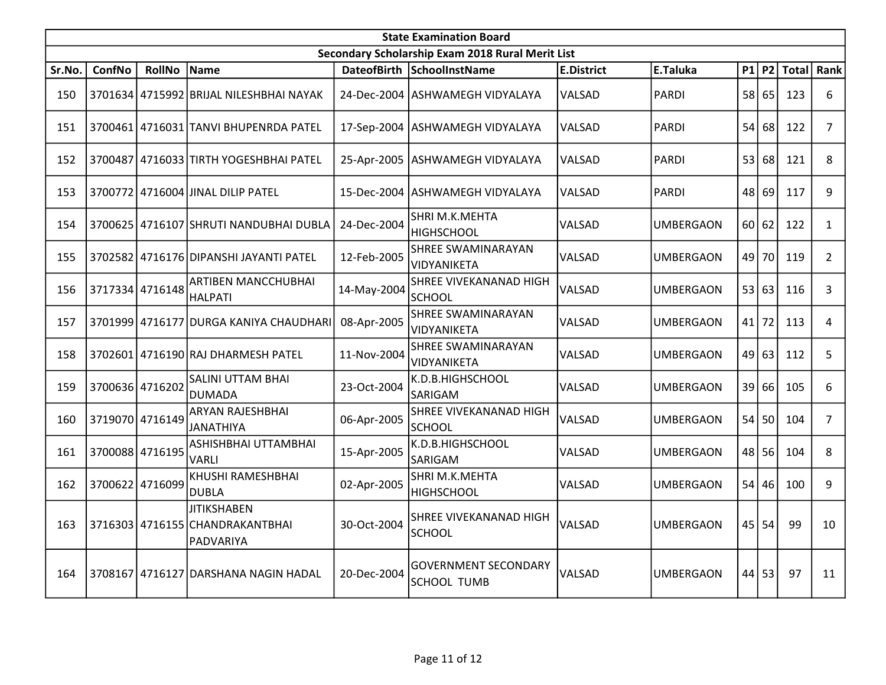|        | <b>State Examination Board</b><br>Secondary Scholarship Exam 2018 Rural Merit List |                 |                                                                    |             |                                                |                   |                  |       |           |              |                |  |  |
|--------|------------------------------------------------------------------------------------|-----------------|--------------------------------------------------------------------|-------------|------------------------------------------------|-------------------|------------------|-------|-----------|--------------|----------------|--|--|
|        |                                                                                    |                 |                                                                    |             |                                                |                   |                  |       |           |              |                |  |  |
| Sr.No. | <b>ConfNo</b>                                                                      | <b>RollNo</b>   | <b>Name</b>                                                        |             | DateofBirth SchoolInstName                     | <b>E.District</b> | E.Taluka         | P1    | <b>P2</b> | <b>Total</b> | Rank           |  |  |
| 150    |                                                                                    |                 | 3701634 4715992 BRIJAL NILESHBHAI NAYAK                            |             | 24-Dec-2004 JASHWAMEGH VIDYALAYA               | VALSAD            | <b>PARDI</b>     | 58    | 65        | 123          | 6              |  |  |
| 151    |                                                                                    |                 | 3700461147160311TANVI BHUPENRDA PATEL                              |             | 17-Sep-2004   ASHWAMEGH VIDYALAYA              | VALSAD            | <b>PARDI</b>     | 54    | 68        | 122          | $\overline{7}$ |  |  |
| 152    |                                                                                    |                 | 3700487 4716033 TIRTH YOGESHBHAI PATEL                             |             | 25-Apr-2005   ASHWAMEGH VIDYALAYA              | VALSAD            | <b>PARDI</b>     | 53    | 68        | 121          | 8              |  |  |
| 153    |                                                                                    |                 | 3700772 4716004 JINAL DILIP PATEL                                  |             | 15-Dec-2004 ASHWAMEGH VIDYALAYA                | VALSAD            | <b>PARDI</b>     | 48    | 69        | 117          | 9              |  |  |
| 154    |                                                                                    |                 | 3700625 4716107 SHRUTI NANDUBHAI DUBLA                             | 24-Dec-2004 | SHRI M.K.MEHTA<br><b>HIGHSCHOOL</b>            | VALSAD            | <b>UMBERGAON</b> | 60 62 |           | 122          | $\mathbf{1}$   |  |  |
| 155    | 3702582                                                                            |                 | 4716176 DIPANSHI JAYANTI PATEL                                     | 12-Feb-2005 | <b>SHREE SWAMINARAYAN</b><br>VIDYANIKETA       | VALSAD            | <b>UMBERGAON</b> | 49    | 70        | 119          | $\overline{2}$ |  |  |
| 156    |                                                                                    | 3717334 4716148 | ARTIBEN MANCCHUBHAI<br><b>HALPATI</b>                              | 14-May-2004 | SHREE VIVEKANANAD HIGH<br>SCHOOL               | VALSAD            | <b>UMBERGAON</b> | 53    | 63        | 116          | 3              |  |  |
| 157    |                                                                                    |                 | 3701999 4716177 DURGA KANIYA CHAUDHARI                             | 08-Apr-2005 | <b>SHREE SWAMINARAYAN</b><br>VIDYANIKETA       | VALSAD            | <b>UMBERGAON</b> | 41    | 72        | 113          | 4              |  |  |
| 158    |                                                                                    |                 | 3702601 4716190 RAJ DHARMESH PATEL                                 | 11-Nov-2004 | <b>SHREE SWAMINARAYAN</b><br>VIDYANIKETA       | VALSAD            | <b>UMBERGAON</b> | 49    | 63        | 112          | 5              |  |  |
| 159    | 3700636 4716202                                                                    |                 | <b>SALINI UTTAM BHAI</b><br><b>DUMADA</b>                          | 23-Oct-2004 | K.D.B.HIGHSCHOOL<br>SARIGAM                    | VALSAD            | <b>UMBERGAON</b> | 39    | 66        | 105          | 6              |  |  |
| 160    |                                                                                    | 3719070 4716149 | ARYAN RAJESHBHAI<br><b>JANATHIYA</b>                               | 06-Apr-2005 | <b>SHREE VIVEKANANAD HIGH</b><br><b>SCHOOL</b> | VALSAD            | <b>UMBERGAON</b> | 54    | 50        | 104          | $\overline{7}$ |  |  |
| 161    |                                                                                    | 3700088 4716195 | ASHISHBHAI UTTAMBHAI<br><b>VARLI</b>                               | 15-Apr-2005 | K.D.B.HIGHSCHOOL<br>SARIGAM                    | VALSAD            | <b>UMBERGAON</b> | 48 56 |           | 104          | 8              |  |  |
| 162    |                                                                                    | 3700622 4716099 | KHUSHI RAMESHBHAI<br><b>DUBLA</b>                                  | 02-Apr-2005 | SHRI M.K.MEHTA<br><b>HIGHSCHOOL</b>            | VALSAD            | <b>UMBERGAON</b> | 54    | 46        | 100          | 9              |  |  |
| 163    |                                                                                    |                 | <b>JITIKSHABEN</b><br>3716303 4716155 CHANDRAKANTBHAI<br>PADVARIYA | 30-Oct-2004 | SHREE VIVEKANANAD HIGH<br><b>SCHOOL</b>        | VALSAD            | <b>UMBERGAON</b> | 45    | 54        | 99           | 10             |  |  |
| 164    |                                                                                    |                 | 3708167 4716127 DARSHANA NAGIN HADAL                               | 20-Dec-2004 | <b>GOVERNMENT SECONDARY</b><br>SCHOOL TUMB     | VALSAD            | UMBERGAON        |       | $44$ 53   | 97           | 11             |  |  |